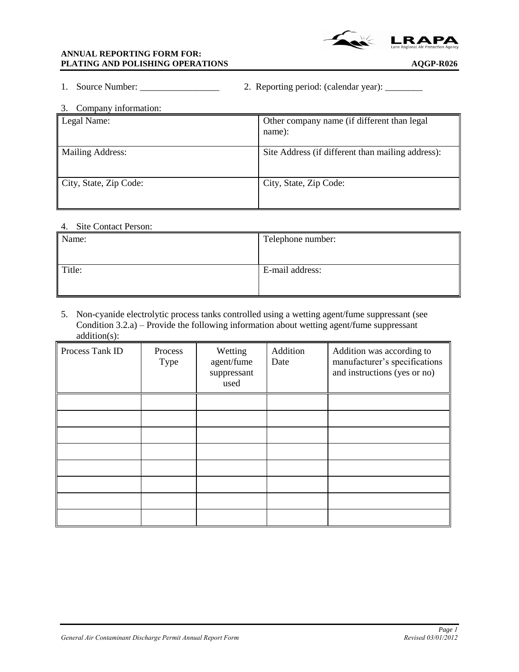

|  | Source Number: |  | 2. Reporting period: (calendar year): |  |  |  |
|--|----------------|--|---------------------------------------|--|--|--|
|--|----------------|--|---------------------------------------|--|--|--|

| Company information:<br>3. |                                                       |  |  |  |  |  |
|----------------------------|-------------------------------------------------------|--|--|--|--|--|
| Legal Name:                | Other company name (if different than legal<br>name): |  |  |  |  |  |
| <b>Mailing Address:</b>    | Site Address (if different than mailing address):     |  |  |  |  |  |
| City, State, Zip Code:     | City, State, Zip Code:                                |  |  |  |  |  |

#### 4. Site Contact Person:

| Name:  | Telephone number: |
|--------|-------------------|
| Title: | E-mail address:   |

5. Non-cyanide electrolytic process tanks controlled using a wetting agent/fume suppressant (see Condition 3.2.a) – Provide the following information about wetting agent/fume suppressant addition(s):

| Process Tank ID | Process<br>Type | Wetting<br>agent/fume<br>suppressant<br>used | Addition<br>Date | Addition was according to<br>manufacturer's specifications<br>and instructions (yes or no) |
|-----------------|-----------------|----------------------------------------------|------------------|--------------------------------------------------------------------------------------------|
|                 |                 |                                              |                  |                                                                                            |
|                 |                 |                                              |                  |                                                                                            |
|                 |                 |                                              |                  |                                                                                            |
|                 |                 |                                              |                  |                                                                                            |
|                 |                 |                                              |                  |                                                                                            |
|                 |                 |                                              |                  |                                                                                            |
|                 |                 |                                              |                  |                                                                                            |
|                 |                 |                                              |                  |                                                                                            |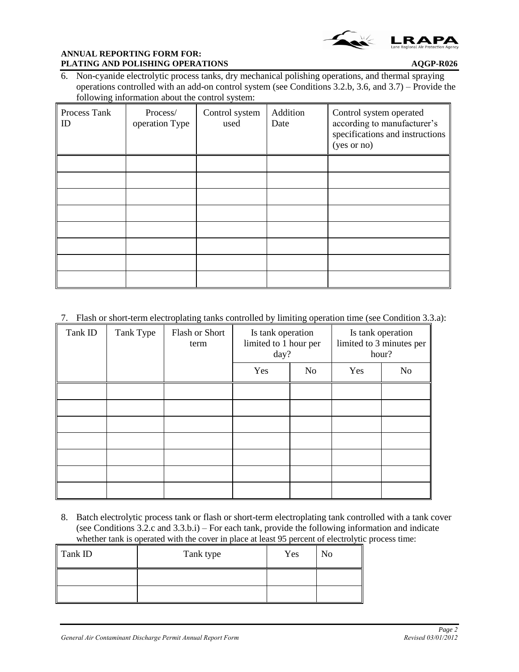

6. Non-cyanide electrolytic process tanks, dry mechanical polishing operations, and thermal spraying operations controlled with an add-on control system (see Conditions 3.2.b, 3.6, and 3.7) – Provide the following information about the control system:

| Process Tank<br>ID | Process/<br>operation Type | Control system<br>used | Addition<br>Date | Control system operated<br>according to manufacturer's<br>specifications and instructions<br>(yes or no) |
|--------------------|----------------------------|------------------------|------------------|----------------------------------------------------------------------------------------------------------|
|                    |                            |                        |                  |                                                                                                          |
|                    |                            |                        |                  |                                                                                                          |
|                    |                            |                        |                  |                                                                                                          |
|                    |                            |                        |                  |                                                                                                          |
|                    |                            |                        |                  |                                                                                                          |
|                    |                            |                        |                  |                                                                                                          |
|                    |                            |                        |                  |                                                                                                          |
|                    |                            |                        |                  |                                                                                                          |

7. Flash or short-term electroplating tanks controlled by limiting operation time (see Condition 3.3.a):

| Tank ID | Tank Type | <b>Flash or Short</b><br>term | Is tank operation<br>limited to 1 hour per<br>day? |    |     | Is tank operation<br>limited to 3 minutes per<br>hour? |
|---------|-----------|-------------------------------|----------------------------------------------------|----|-----|--------------------------------------------------------|
|         |           |                               | Yes                                                | No | Yes | N <sub>o</sub>                                         |
|         |           |                               |                                                    |    |     |                                                        |
|         |           |                               |                                                    |    |     |                                                        |
|         |           |                               |                                                    |    |     |                                                        |
|         |           |                               |                                                    |    |     |                                                        |
|         |           |                               |                                                    |    |     |                                                        |
|         |           |                               |                                                    |    |     |                                                        |
|         |           |                               |                                                    |    |     |                                                        |

8. Batch electrolytic process tank or flash or short-term electroplating tank controlled with a tank cover (see Conditions 3.2.c and 3.3.b.i) – For each tank, provide the following information and indicate whether tank is operated with the cover in place at least 95 percent of electrolytic process time:

| Tank ID | Tank type | Yes | No |
|---------|-----------|-----|----|
|         |           |     |    |
|         |           |     |    |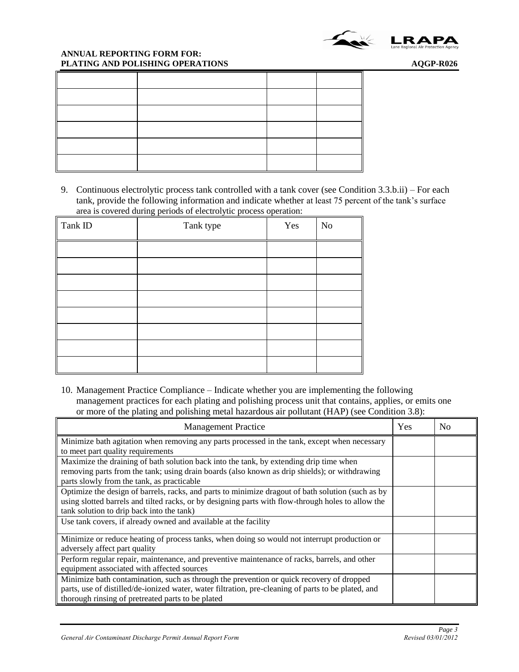

9. Continuous electrolytic process tank controlled with a tank cover (see Condition 3.3.b.ii) – For each tank, provide the following information and indicate whether at least 75 percent of the tank's surface area is covered during periods of electrolytic process operation:

| Tank ID | Tank type | Yes | $\rm No$ |
|---------|-----------|-----|----------|
|         |           |     |          |
|         |           |     |          |
|         |           |     |          |
|         |           |     |          |
|         |           |     |          |
|         |           |     |          |
|         |           |     |          |
|         |           |     |          |

10. Management Practice Compliance – Indicate whether you are implementing the following management practices for each plating and polishing process unit that contains, applies, or emits one or more of the plating and polishing metal hazardous air pollutant (HAP) (see Condition 3.8):

| <b>Management Practice</b>                                                                          | Yes | N <sub>0</sub> |
|-----------------------------------------------------------------------------------------------------|-----|----------------|
| Minimize bath agitation when removing any parts processed in the tank, except when necessary        |     |                |
| to meet part quality requirements                                                                   |     |                |
| Maximize the draining of bath solution back into the tank, by extending drip time when              |     |                |
| removing parts from the tank; using drain boards (also known as drip shields); or withdrawing       |     |                |
| parts slowly from the tank, as practicable                                                          |     |                |
| Optimize the design of barrels, racks, and parts to minimize dragout of bath solution (such as by   |     |                |
| using slotted barrels and tilted racks, or by designing parts with flow-through holes to allow the  |     |                |
| tank solution to drip back into the tank)                                                           |     |                |
| Use tank covers, if already owned and available at the facility                                     |     |                |
| Minimize or reduce heating of process tanks, when doing so would not interrupt production or        |     |                |
| adversely affect part quality                                                                       |     |                |
| Perform regular repair, maintenance, and preventive maintenance of racks, barrels, and other        |     |                |
| equipment associated with affected sources                                                          |     |                |
| Minimize bath contamination, such as through the prevention or quick recovery of dropped            |     |                |
| parts, use of distilled/de-ionized water, water filtration, pre-cleaning of parts to be plated, and |     |                |
| thorough rinsing of pretreated parts to be plated                                                   |     |                |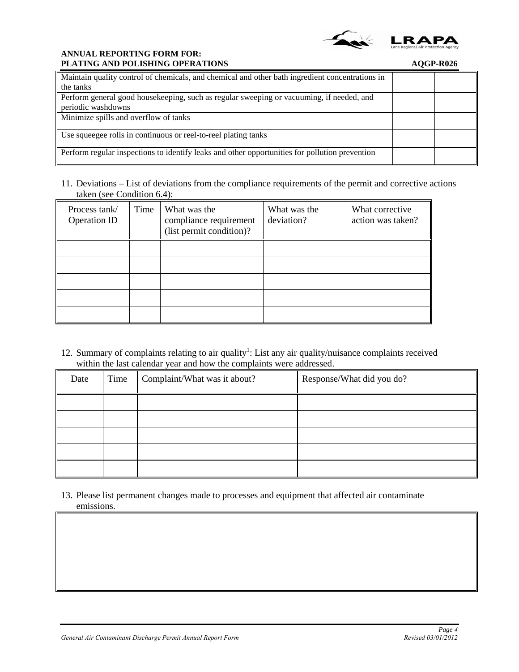

| Maintain quality control of chemicals, and chemical and other bath ingredient concentrations in |  |
|-------------------------------------------------------------------------------------------------|--|
| the tanks                                                                                       |  |
| Perform general good house keeping, such as regular sweeping or vacuuming, if needed, and       |  |
| periodic washdowns                                                                              |  |
| Minimize spills and overflow of tanks                                                           |  |
|                                                                                                 |  |
| Use squeegee rolls in continuous or reel-to-reel plating tanks                                  |  |
| Perform regular inspections to identify leaks and other opportunities for pollution prevention  |  |

11. Deviations – List of deviations from the compliance requirements of the permit and corrective actions taken (see Condition 6.4):

| Process tank/<br><b>Operation ID</b> | Time | What was the<br>compliance requirement<br>(list permit condition)? | What was the<br>deviation? | What corrective<br>action was taken? |
|--------------------------------------|------|--------------------------------------------------------------------|----------------------------|--------------------------------------|
|                                      |      |                                                                    |                            |                                      |
|                                      |      |                                                                    |                            |                                      |
|                                      |      |                                                                    |                            |                                      |
|                                      |      |                                                                    |                            |                                      |
|                                      |      |                                                                    |                            |                                      |

12. Summary of complaints relating to air quality<sup>1</sup>: List any air quality/nuisance complaints received within the last calendar year and how the complaints were addressed.

| Date | Time | Complaint/What was it about? | Response/What did you do? |
|------|------|------------------------------|---------------------------|
|      |      |                              |                           |
|      |      |                              |                           |
|      |      |                              |                           |
|      |      |                              |                           |
|      |      |                              |                           |

13. Please list permanent changes made to processes and equipment that affected air contaminate emissions.